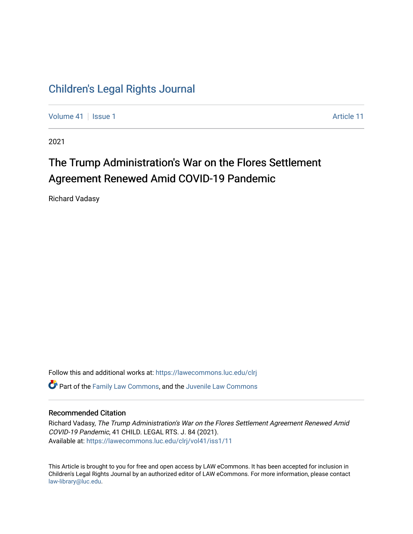## [Children's Legal Rights Journal](https://lawecommons.luc.edu/clrj)

[Volume 41](https://lawecommons.luc.edu/clrj/vol41) | [Issue 1](https://lawecommons.luc.edu/clrj/vol41/iss1) [Article 11](https://lawecommons.luc.edu/clrj/vol41/iss1/11) Article 11

2021

# The Trump Administration's War on the Flores Settlement Agreement Renewed Amid COVID-19 Pandemic

Richard Vadasy

Follow this and additional works at: [https://lawecommons.luc.edu/clrj](https://lawecommons.luc.edu/clrj?utm_source=lawecommons.luc.edu%2Fclrj%2Fvol41%2Fiss1%2F11&utm_medium=PDF&utm_campaign=PDFCoverPages) **C** Part of the [Family Law Commons,](http://network.bepress.com/hgg/discipline/602?utm_source=lawecommons.luc.edu%2Fclrj%2Fvol41%2Fiss1%2F11&utm_medium=PDF&utm_campaign=PDFCoverPages) and the Juvenile Law Commons

#### Recommended Citation

Richard Vadasy, The Trump Administration's War on the Flores Settlement Agreement Renewed Amid COVID-19 Pandemic, 41 CHILD. LEGAL RTS. J. 84 (2021). Available at: [https://lawecommons.luc.edu/clrj/vol41/iss1/11](https://lawecommons.luc.edu/clrj/vol41/iss1/11?utm_source=lawecommons.luc.edu%2Fclrj%2Fvol41%2Fiss1%2F11&utm_medium=PDF&utm_campaign=PDFCoverPages) 

This Article is brought to you for free and open access by LAW eCommons. It has been accepted for inclusion in Children's Legal Rights Journal by an authorized editor of LAW eCommons. For more information, please contact [law-library@luc.edu](mailto:law-library@luc.edu).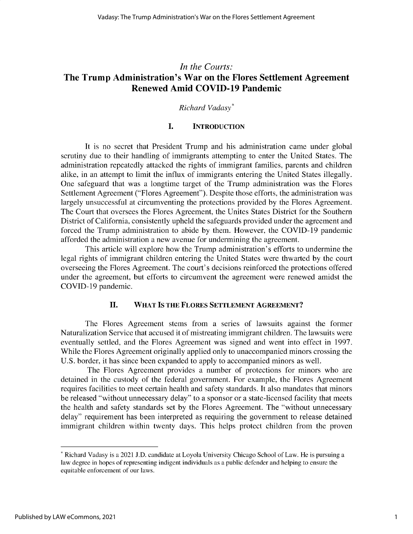### *In the Courts:* **The Trump Administration's War on the Flores Settlement Agreement Renewed Amid COVID-19 Pandemic**

#### *Richard Vadasy\**

#### **I. INTRODUCTION**

It is no secret that President Trump and his administration came under global scrutiny due to their handling of immigrants attempting to enter the United States. The administration repeatedly attacked the rights of immigrant families, parents and children alike, in an attempt to limit the influx of immigrants entering the United States illegally. One safeguard that was a longtime target of the Trump administration was the Flores Settlement Agreement ("Flores Agreement"). Despite those efforts, the administration was largely unsuccessful at circumventing the protections provided by the Flores Agreement. The Court that oversees the Flores Agreement, the Unites States District for the Southern District of California, consistently upheld the safeguards provided under the agreement and forced the Trump administration to abide by them. However, the COVID-19 pandemic afforded the administration a new avenue for undermining the agreement.

This article will explore how the Trump administration's efforts to undermine the legal rights of immigrant children entering the United States were thwarted by the court overseeing the Flores Agreement. The court's decisions reinforced the protections offered under the agreement, but efforts to circumvent the agreement were renewed amidst the COVID-19 pandemic.

#### **II. WHAT IS THE FLORES SETTLEMENT AGREEMENT?**

The Flores Agreement stems from a series of lawsuits against the former Naturalization Service that accused it of mistreating immigrant children. The lawsuits were eventually settled, and the Flores Agreement was signed and went into effect in 1997. While the Flores Agreement originally applied only to unaccompanied minors crossing the U.S. border, it has since been expanded to apply to accompanied minors as well.

The Flores Agreement provides a number of protections for minors who are detained in the custody of the federal government. For example, the Flores Agreement requires facilities to meet certain health and safety standards. It also mandates that minors be released "without unnecessary delay" to a sponsor or a state-licensed facility that meets the health and safety standards set by the Flores Agreement. The "without unnecessary delay" requirement has been interpreted as requiring the government to release detained immigrant children within twenty days. This helps protect children from the proven

<sup>\*</sup> Richard Vadasy is a 2021 J.D. candidate at Loyola University Chicago School of Law. He is pursuing a law degree in hopes of representing indigent individuals as a public defender and helping to ensure the equitable enforcement of our laws.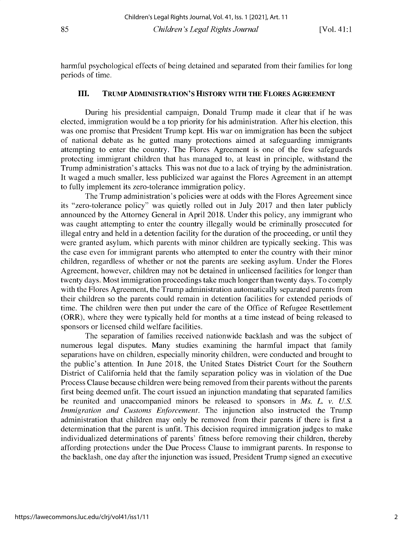harmful psychological effects of being detained and separated from their families for long periods of time.

#### **III. TRUMP ADMINISTRATION'S HISTORY WITH THE FLORES AGREEMENT**

During his presidential campaign, Donald Trump made it clear that if he was elected, immigration would be a top priority for his administration. After his election, this was one promise that President Trump kept. His war on immigration has been the subject of national debate as he gutted many protections aimed at safeguarding immigrants attempting to enter the country. The Flores Agreement is one of the few safeguards protecting immigrant children that has managed to, at least in principle, withstand the Trump administration's attacks. This was not due to a lack of trying by the administration. It waged a much smaller, less publicized war against the Flores Agreement in an attempt to fully implement its zero-tolerance immigration policy.

The Trump administration's policies were at odds with the Flores Agreement since its "zero-tolerance policy" was quietly rolled out in July 2017 and then later publicly announced by the Attorney General in April 2018. Under this policy, any immigrant who was caught attempting to enter the country illegally would be criminally prosecuted for illegal entry and held in a detention facility for the duration of the proceeding, or until they were granted asylum, which parents with minor children are typically seeking. This was the case even for immigrant parents who attempted to enter the country with their minor children, regardless of whether or not the parents are seeking asylum. Under the Flores Agreement, however, children may not be detained in unlicensed facilities for longer than twenty days. Most immigration proceedings take much longer than twenty days. To comply with the Flores Agreement, the Trump administration automatically separated parents from their children so the parents could remain in detention facilities for extended periods of time. The children were then put under the care of the Office of Refugee Resettlement (ORR), where they were typically held for months at a time instead of being released to sponsors or licensed child welfare facilities.

The separation of families received nationwide backlash and was the subject of numerous legal disputes. Many studies examining the harmful impact that family separations have on children, especially minority children, were conducted and brought to the public's attention. In June 2018, the United States District Court for the Southern District of California held that the family separation policy was in violation of the Due Process Clause because children were being removed from their parents without the parents first being deemed unfit. The court issued an injunction mandating that separated families be reunited and unaccompanied minors be released to sponsors in *Ms. L. v. U.S. Immigration and Customs Enforcement.* The injunction also instructed the Trump administration that children may only be removed from their parents if there is first a determination that the parent is unfit. This decision required immigration judges to make individualized determinations of parents' fitness before removing their children, thereby affording protections under the Due Process Clause to immigrant parents. In response to the backlash, one day after the injunction was issued, President Trump signed an executive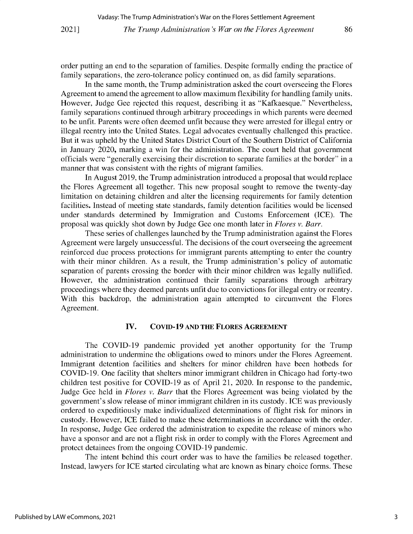order putting an end to the separation of families. Despite formally ending the practice of family separations, the zero-tolerance policy continued on, as did family separations.

In the same month, the Trump administration asked the court overseeing the Flores Agreement to amend the agreement to allow maximum flexibility for handling family units. However, Judge Gee rejected this request, describing it as "Kafkaesque." Nevertheless, family separations continued through arbitrary proceedings in which parents were deemed to be unfit. Parents were often deemed unfit because they were arrested for illegal entry or illegal reentry into the United States. Legal advocates eventually challenged this practice. But it was upheld by the United States District Court of the Southern District of California in January 2020, marking a win for the administration. The court held that government officials were "generally exercising their discretion to separate families at the border" in a manner that was consistent with the rights of migrant families.

In August 2019, the Trump administration introduced a proposal that would replace the Flores Agreement all together. This new proposal sought to remove the twenty-day limitation on detaining children and alter the licensing requirements for family detention facilities. Instead of meeting state standards, family detention facilities would be licensed under standards determined by Immigration and Customs Enforcement (ICE). The proposal was quickly shot down by Judge Gee one month later in *Flores v. Barr.*

These series of challenges launched by the Trump administration against the Flores Agreement were largely unsuccessful. The decisions of the court overseeing the agreement reinforced due process protections for immigrant parents attempting to enter the country with their minor children. As a result, the Trump administration's policy of automatic separation of parents crossing the border with their minor children was legally nullified. However, the administration continued their family separations through arbitrary proceedings where they deemed parents unfit due to convictions for illegal entry or reentry. With this backdrop, the administration again attempted to circumvent the Flores Agreement.

#### **IV. COVID-19 AND THE FLORES AGREEMENT**

The COVID-19 pandemic provided yet another opportunity for the Trump administration to undermine the obligations owed to minors under the Flores Agreement. Immigrant detention facilities and shelters for minor children have been hotbeds for COVID-19. One facility that shelters minor immigrant children in Chicago had forty-two children test positive for COVID-19 as of April 21, 2020. In response to the pandemic, Judge Gee held in *Flores v. Barr* that the Flores Agreement was being violated by the government's slow release of minor immigrant children in its custody. ICE was previously ordered to expeditiously make individualized determinations of flight risk for minors in custody. However, ICE failed to make these determinations in accordance with the order. In response, Judge Gee ordered the administration to expedite the release of minors who have a sponsor and are not a flight risk in order to comply with the Flores Agreement and protect detainees from the ongoing COVID-19 pandemic.

The intent behind this court order was to have the families be released together. Instead, lawyers for ICE started circulating what are known as binary choice forms. These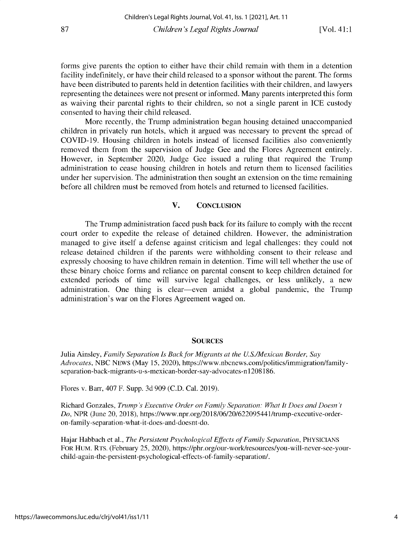**forms give parents the option to either have their child remain with them in a detention facility indefinitely, or have their child released to a sponsor without the parent. The forms have been distributed to parents held in detention facilities with their children, and lawyers representing the detainees were not present or informed. Many parents interpreted this form as waiving their parental rights to their children, so not a single parent in ICE custody consented to having their child released.**

**More recently, the Trump administration began housing detained unaccompanied children in privately run hotels, which it argued was necessary to prevent the spread of COVID-19. Housing children in hotels instead of licensed facilities also conveniently removed them from the supervision of Judge Gee and the Flores Agreement entirely. However, in September** 2020, **Judge Gee issued a ruling that required the Trump administration to cease housing children in hotels and return them to licensed facilities under her supervision. The administration then sought an extension on the time remaining before all children must be removed from hotels and returned to licensed facilities.**

#### **V. CONCLUSION**

**The Trump administration faced push back for its failure to comply with the recent court order to expedite the release of detained children. However, the administration managed to give itself a defense against criticism and legal challenges: they could not release detained children if the parents were withholding consent to their release and expressly choosing to have children remain in detention. Time will tell whether the use of these binary choice forms and reliance on parental consent to keep children detained for extended periods of time will survive legal challenges, or less unlikely, a new administration. One thing is clear-even amidst a global pandemic, the Trump administration's war on the Flores Agreement waged on.**

#### **SOURCES**

**Julia Ainsley,** *Family Separation Is Back for Migrants at the U.S./Mexican Border, Say Advocates,* NBC NEWS **(May** *15,* 2020), **https://www.nbcnews.com/politics/immigration/familyseparation-back-migrants-u-s-mexican-border-say-advocates-n1208186.**

**Flores v. Barr, 407 F. Supp. 3d 909** (C.D. Cal. 2019).

**Richard Gonzales,** *Trump's Executive Order on Family Separation: What It Does and Doesn't Do,* **NPR (June 20, 2018), https://www.npr.org/2018/06/20/622095441/trump-executive-orderon-family-separation-what-it-does-and-doesnt-do.**

**Hajar Habbach et al.,** *The Persistent Psychological Effects of Family Separation,* PHYSICIANS **FOR HUM. RTS. (February** 25, 2020), **https://phr.org/our-work/resources/you-will-never-see-yourchild-again-the-persistent-psychological-effects-of-family-separation/.**